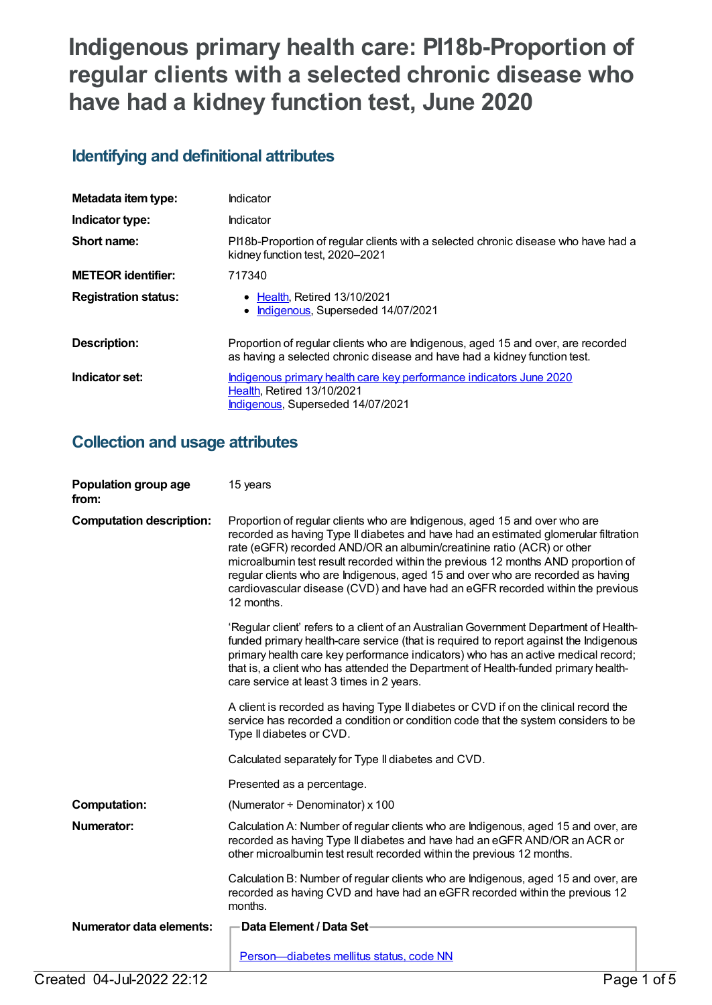# **Indigenous primary health care: PI18b-Proportion of regular clients with a selected chronic disease who have had a kidney function test, June 2020**

## **Identifying and definitional attributes**

| Metadata item type:         | Indicator                                                                                                                                                     |
|-----------------------------|---------------------------------------------------------------------------------------------------------------------------------------------------------------|
| Indicator type:             | Indicator                                                                                                                                                     |
| Short name:                 | PI18b-Proportion of regular clients with a selected chronic disease who have had a<br>kidney function test, 2020–2021                                         |
| <b>METEOR identifier:</b>   | 717340                                                                                                                                                        |
| <b>Registration status:</b> | • Health, Retired 13/10/2021<br>Indigenous, Superseded 14/07/2021                                                                                             |
| Description:                | Proportion of regular clients who are Indigenous, aged 15 and over, are recorded<br>as having a selected chronic disease and have had a kidney function test. |
| Indicator set:              | Indigenous primary health care key performance indicators June 2020<br><b>Health, Retired 13/10/2021</b><br>Indigenous, Superseded 14/07/2021                 |

## **Collection and usage attributes**

| Population group age<br>from:   | 15 years                                                                                                                                                                                                                                                                                                                                                                                                                                                                                                            |
|---------------------------------|---------------------------------------------------------------------------------------------------------------------------------------------------------------------------------------------------------------------------------------------------------------------------------------------------------------------------------------------------------------------------------------------------------------------------------------------------------------------------------------------------------------------|
| <b>Computation description:</b> | Proportion of regular clients who are Indigenous, aged 15 and over who are<br>recorded as having Type II diabetes and have had an estimated glomerular filtration<br>rate (eGFR) recorded AND/OR an albumin/creatinine ratio (ACR) or other<br>microalbumin test result recorded within the previous 12 months AND proportion of<br>regular clients who are Indigenous, aged 15 and over who are recorded as having<br>cardiovascular disease (CVD) and have had an eGFR recorded within the previous<br>12 months. |
|                                 | 'Regular client' refers to a client of an Australian Government Department of Health-<br>funded primary health-care service (that is required to report against the Indigenous<br>primary health care key performance indicators) who has an active medical record;<br>that is, a client who has attended the Department of Health-funded primary health-<br>care service at least 3 times in 2 years.                                                                                                              |
|                                 | A client is recorded as having Type II diabetes or CVD if on the clinical record the<br>service has recorded a condition or condition code that the system considers to be<br>Type II diabetes or CVD.                                                                                                                                                                                                                                                                                                              |
|                                 | Calculated separately for Type II diabetes and CVD.                                                                                                                                                                                                                                                                                                                                                                                                                                                                 |
|                                 | Presented as a percentage.                                                                                                                                                                                                                                                                                                                                                                                                                                                                                          |
| <b>Computation:</b>             | (Numerator $\div$ Denominator) x 100                                                                                                                                                                                                                                                                                                                                                                                                                                                                                |
| Numerator:                      | Calculation A: Number of regular clients who are Indigenous, aged 15 and over, are<br>recorded as having Type II diabetes and have had an eGFR AND/OR an ACR or<br>other microalbumin test result recorded within the previous 12 months.                                                                                                                                                                                                                                                                           |
|                                 | Calculation B: Number of regular clients who are Indigenous, aged 15 and over, are<br>recorded as having CVD and have had an eGFR recorded within the previous 12<br>months.                                                                                                                                                                                                                                                                                                                                        |
| <b>Numerator data elements:</b> | Data Element / Data Set                                                                                                                                                                                                                                                                                                                                                                                                                                                                                             |
|                                 | Person-diabetes mellitus status, code NN                                                                                                                                                                                                                                                                                                                                                                                                                                                                            |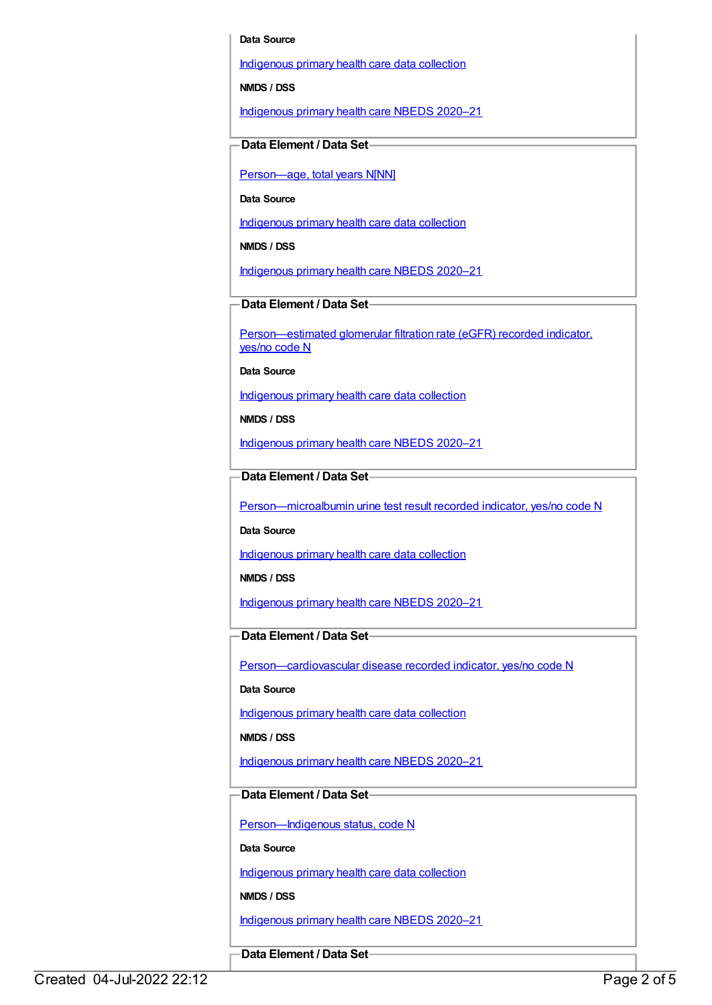#### **Data Source**

[Indigenous](https://meteor.aihw.gov.au/content/430643) primary health care data collection

**NMDS / DSS**

[Indigenous](https://meteor.aihw.gov.au/content/715320) primary health care NBEDS 2020–21

#### **Data Element / Data Set**

Person-age, total years N[NN]

**Data Source**

[Indigenous](https://meteor.aihw.gov.au/content/430643) primary health care data collection

**NMDS / DSS**

[Indigenous](https://meteor.aihw.gov.au/content/715320) primary health care NBEDS 2020–21

**Data Element / Data Set**

[Person—estimated](https://meteor.aihw.gov.au/content/464961) glomerular filtration rate (eGFR) recorded indicator, yes/no code N

**Data Source**

[Indigenous](https://meteor.aihw.gov.au/content/430643) primary health care data collection

**NMDS / DSS**

[Indigenous](https://meteor.aihw.gov.au/content/715320) primary health care NBEDS 2020–21

**Data Element / Data Set**

[Person—microalbumin](https://meteor.aihw.gov.au/content/464970) urine test result recorded indicator, yes/no code N

**Data Source**

[Indigenous](https://meteor.aihw.gov.au/content/430643) primary health care data collection

**NMDS / DSS**

[Indigenous](https://meteor.aihw.gov.au/content/715320) primary health care NBEDS 2020–21

**Data Element / Data Set**

[Person—cardiovascular](https://meteor.aihw.gov.au/content/465948) disease recorded indicator, yes/no code N

**Data Source**

[Indigenous](https://meteor.aihw.gov.au/content/430643) primary health care data collection

**NMDS / DSS**

[Indigenous](https://meteor.aihw.gov.au/content/715320) primary health care NBEDS 2020–21

#### **Data Element / Data Set**

Person-Indigenous status, code N

**Data Source**

[Indigenous](https://meteor.aihw.gov.au/content/430643) primary health care data collection

**NMDS / DSS**

[Indigenous](https://meteor.aihw.gov.au/content/715320) primary health care NBEDS 2020–21

**Data Element / Data Set**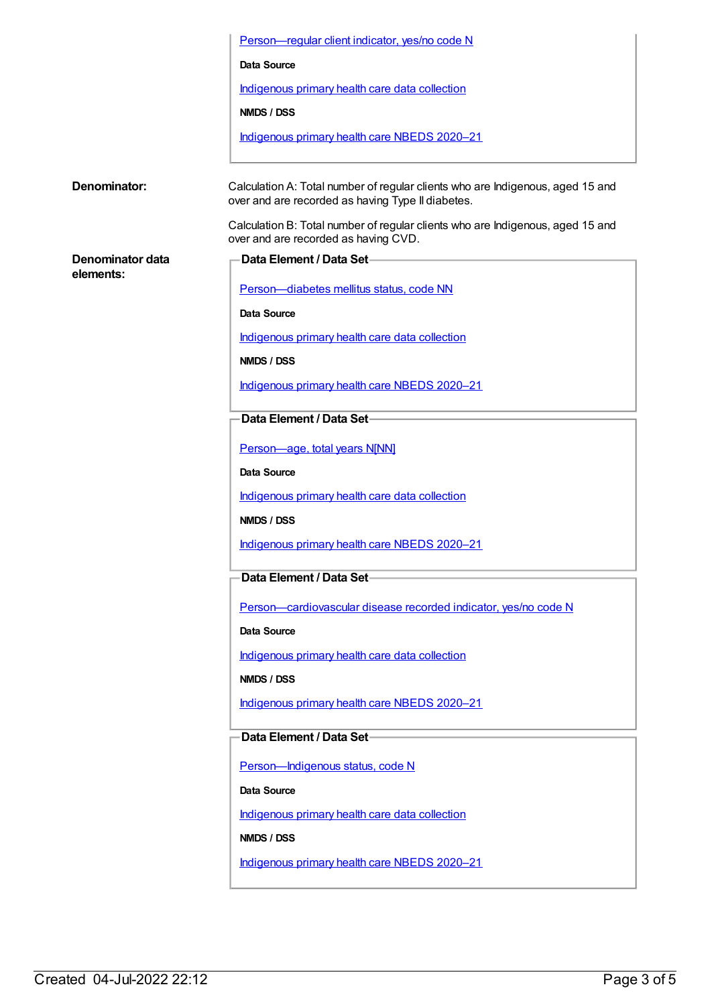|                               | Person-regular client indicator, yes/no code N                                                                                      |
|-------------------------------|-------------------------------------------------------------------------------------------------------------------------------------|
|                               | <b>Data Source</b>                                                                                                                  |
|                               | Indigenous primary health care data collection                                                                                      |
|                               | <b>NMDS / DSS</b>                                                                                                                   |
|                               | Indigenous primary health care NBEDS 2020-21                                                                                        |
| Denominator:                  | Calculation A: Total number of regular clients who are Indigenous, aged 15 and<br>over and are recorded as having Type II diabetes. |
|                               | Calculation B: Total number of regular clients who are Indigenous, aged 15 and<br>over and are recorded as having CVD.              |
| Denominator data<br>elements: | Data Element / Data Set-                                                                                                            |
|                               | Person-diabetes mellitus status, code NN                                                                                            |
|                               | Data Source                                                                                                                         |
|                               | Indigenous primary health care data collection                                                                                      |
|                               | <b>NMDS / DSS</b>                                                                                                                   |
|                               | Indigenous primary health care NBEDS 2020-21                                                                                        |
|                               | Data Element / Data Set-                                                                                                            |
|                               | Person-age, total years N[NN]                                                                                                       |
|                               | <b>Data Source</b>                                                                                                                  |
|                               | Indigenous primary health care data collection                                                                                      |
|                               | NMDS / DSS                                                                                                                          |
|                               | Indigenous primary health care NBEDS 2020-21                                                                                        |
|                               | Data Element / Data Set-                                                                                                            |
|                               | Person-cardiovascular disease recorded indicator, yes/no code N                                                                     |
|                               | Data Source                                                                                                                         |
|                               | Indigenous primary health care data collection                                                                                      |
|                               | NMDS / DSS                                                                                                                          |
|                               | Indigenous primary health care NBEDS 2020-21                                                                                        |
|                               | Data Element / Data Set-                                                                                                            |
|                               | Person-Indigenous status, code N                                                                                                    |
|                               | Data Source                                                                                                                         |
|                               | Indigenous primary health care data collection                                                                                      |
|                               | NMDS / DSS                                                                                                                          |
|                               | Indigenous primary health care NBEDS 2020-21                                                                                        |
|                               |                                                                                                                                     |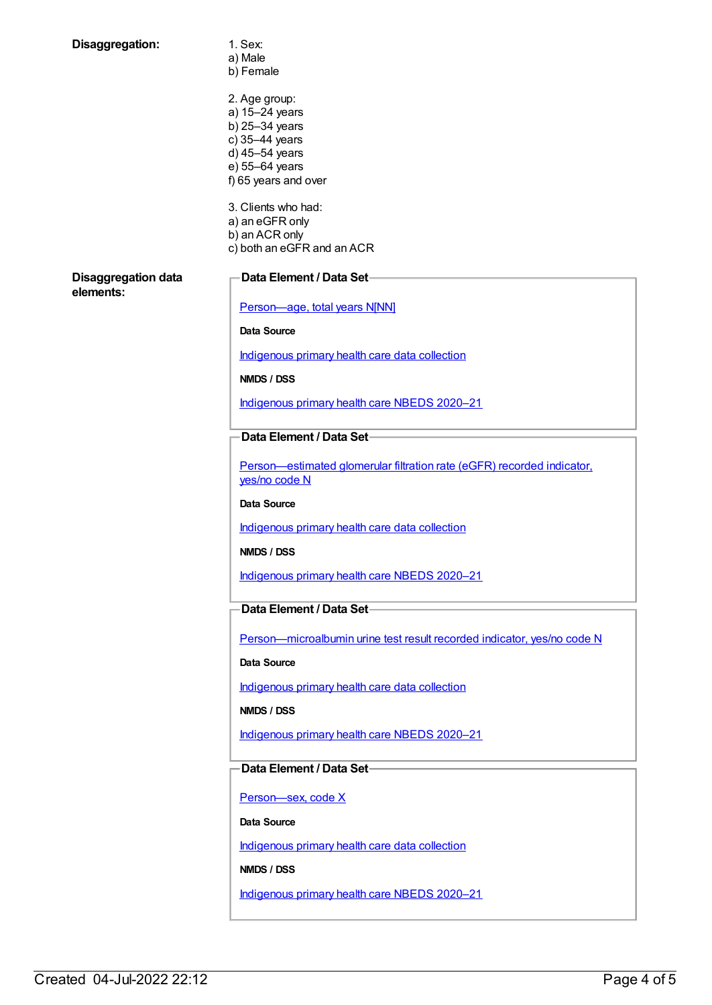| Disaggregation:                         | 1. Sex:<br>a) Male                                                                      |
|-----------------------------------------|-----------------------------------------------------------------------------------------|
|                                         | b) Female                                                                               |
|                                         | 2. Age group:                                                                           |
|                                         | a) 15-24 years<br>b) 25-34 years                                                        |
|                                         | c) 35-44 years                                                                          |
|                                         | d) 45-54 years<br>e) 55-64 years                                                        |
|                                         | f) 65 years and over                                                                    |
|                                         | 3. Clients who had:                                                                     |
|                                         | a) an eGFR only                                                                         |
|                                         | b) an ACR only<br>c) both an eGFR and an ACR                                            |
| <b>Disaggregation data</b><br>elements: | Data Element / Data Set-                                                                |
|                                         | Person-age, total years N[NN]                                                           |
|                                         | <b>Data Source</b>                                                                      |
|                                         | Indigenous primary health care data collection                                          |
|                                         | NMDS / DSS                                                                              |
|                                         | Indigenous primary health care NBEDS 2020-21                                            |
|                                         | Data Element / Data Set-                                                                |
|                                         | Person-estimated glomerular filtration rate (eGFR) recorded indicator,<br>yes/no code N |
|                                         | Data Source                                                                             |
|                                         | Indigenous primary health care data collection                                          |
|                                         | NMDS / DSS                                                                              |
|                                         | Indigenous primary health care NBEDS 2020-21                                            |
|                                         | Data Element / Data Set-                                                                |
|                                         | Person-microalbumin urine test result recorded indicator, yes/no code N                 |
|                                         | Data Source                                                                             |
|                                         | Indigenous primary health care data collection                                          |
|                                         | NMDS / DSS                                                                              |
|                                         | Indigenous primary health care NBEDS 2020-21                                            |
|                                         | Data Element / Data Set-                                                                |
|                                         | Person-sex, code X                                                                      |
|                                         | Data Source                                                                             |
|                                         | Indigenous primary health care data collection                                          |
|                                         | NMDS / DSS                                                                              |
|                                         | Indigenous primary health care NBEDS 2020-21                                            |
|                                         |                                                                                         |